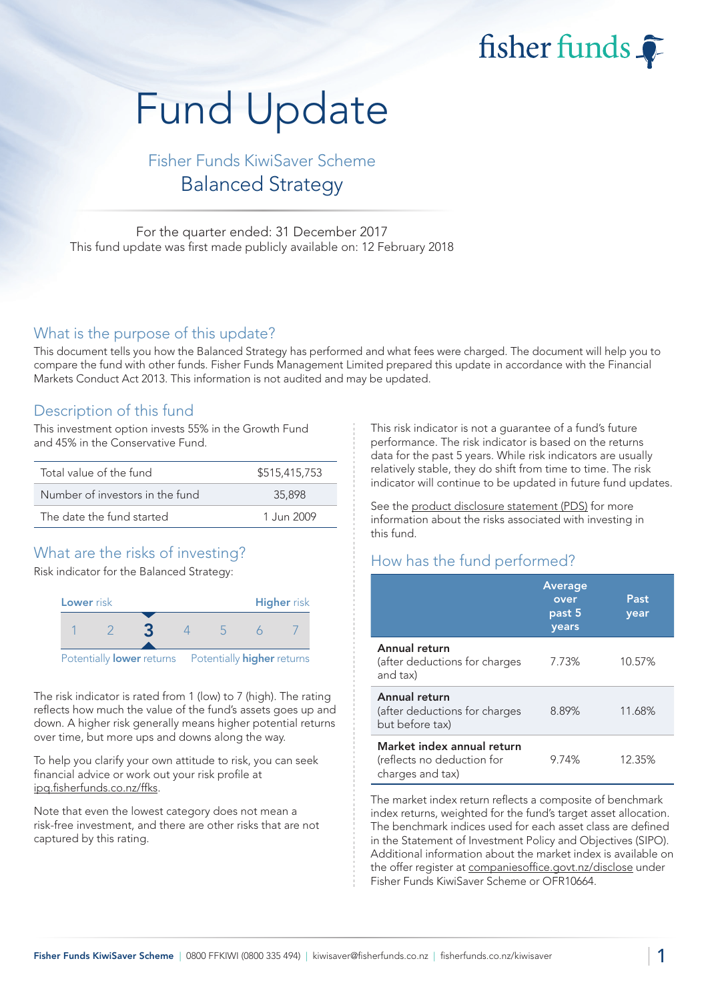fisher funds

# Fund Update

# Fisher Funds KiwiSaver Scheme Balanced Strategy

For the quarter ended: 31 December 2017 This fund update was first made publicly available on: 12 February 2018

#### What is the purpose of this update?

This document tells you how the Balanced Strategy has performed and what fees were charged. The document will help you to compare the fund with other funds. Fisher Funds Management Limited prepared this update in accordance with the Financial Markets Conduct Act 2013. This information is not audited and may be updated.

## Description of this fund

This investment option invests 55% in the Growth Fund and 45% in the Conservative Fund.

| Total value of the fund         | \$515,415,753 |
|---------------------------------|---------------|
| Number of investors in the fund | 35,898        |
| The date the fund started       | 1.Jun 2009    |

# What are the risks of investing?

Risk indicator for the Balanced Strategy:



The risk indicator is rated from 1 (low) to 7 (high). The rating reflects how much the value of the fund's assets goes up and down. A higher risk generally means higher potential returns over time, but more ups and downs along the way.

To help you clarify your own attitude to risk, you can seek financial advice or work out your risk profile at ipq.fisherfunds.co.nz/ffks.

Note that even the lowest category does not mean a risk-free investment, and there are other risks that are not captured by this rating.

This risk indicator is not a guarantee of a fund's future performance. The risk indicator is based on the returns data for the past 5 years. While risk indicators are usually relatively stable, they do shift from time to time. The risk indicator will continue to be updated in future fund updates.

See the product disclosure statement (PDS) for more information about the risks associated with investing in this fund.

# How has the fund performed?

|                                                                              | Average<br>over<br>past 5<br>years | Past<br>year |
|------------------------------------------------------------------------------|------------------------------------|--------------|
| Annual return<br>(after deductions for charges<br>and tax)                   | 7.73%                              | 10.57%       |
| Annual return<br>(after deductions for charges<br>but before tax)            | 8.89%                              | 11.68%       |
| Market index annual return<br>(reflects no deduction for<br>charges and tax) | 9.74%                              | 12.35%       |

The market index return reflects a composite of benchmark index returns, weighted for the fund's target asset allocation. The benchmark indices used for each asset class are defined in the Statement of Investment Policy and Objectives (SIPO). Additional information about the market index is available on the offer register at companiesoffice.govt.nz/disclose under Fisher Funds KiwiSaver Scheme or OFR10664.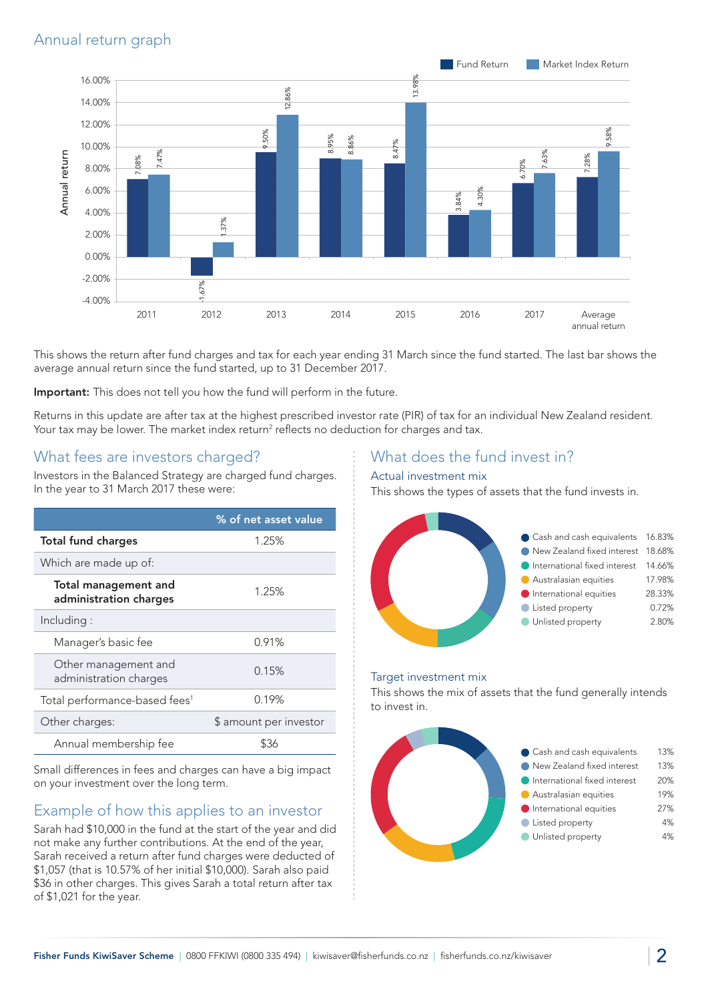# Annual return graph



This shows the return after fund charges and tax for each year ending 31 March since the fund started. The last bar shows the average annual return since the fund started, up to 31 December 2017.

Important: This does not tell you how the fund will perform in the future.

Returns in this update are after tax at the highest prescribed investor rate (PIR) of tax for an individual New Zealand resident. Your tax may be lower. The market index return<sup>2</sup> reflects no deduction for charges and tax.

### What fees are investors charged?

Investors in the Balanced Strategy are charged fund charges. In the year to 31 March 2017 these were:

|                                                       | % of net asset value   |  |
|-------------------------------------------------------|------------------------|--|
| <b>Total fund charges</b>                             | 1.25%                  |  |
| Which are made up of:                                 |                        |  |
| <b>Total management and</b><br>administration charges | 1.25%                  |  |
| Including:                                            |                        |  |
| Manager's basic fee                                   | 0.91%                  |  |
| Other management and<br>administration charges        | 0.15%                  |  |
| Total performance-based fees <sup>1</sup>             | 0.19%                  |  |
| Other charges:                                        | \$ amount per investor |  |
| Annual membership fee                                 |                        |  |

Small differences in fees and charges can have a big impact on your investment over the long term.

### Example of how this applies to an investor

Sarah had \$10,000 in the fund at the start of the year and did not make any further contributions. At the end of the year, Sarah received a return after fund charges were deducted of \$1,057 (that is 10.57% of her initial \$10,000). Sarah also paid \$36 in other charges. This gives Sarah a total return after tax of \$1,021 for the year.

#### What does the fund invest in?

#### Actual investment mix

This shows the types of assets that the fund invests in.



#### Target investment mix

This shows the mix of assets that the fund generally intends to invest in.